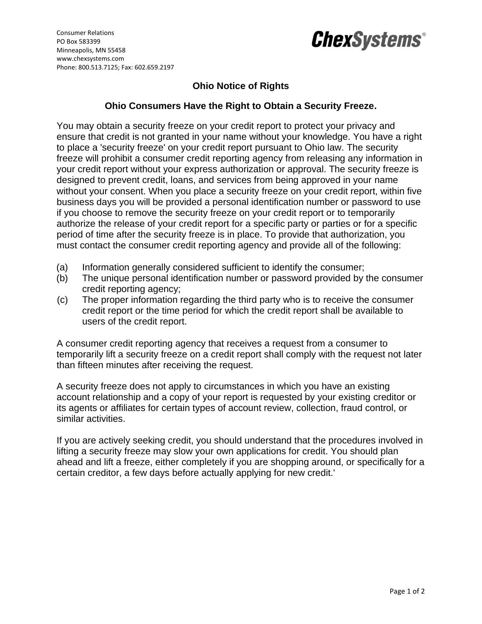

## *ChexSystems®*

## **Ohio Notice of Rights**

## **Ohio Consumers Have the Right to Obtain a Security Freeze.**

You may obtain a security freeze on your credit report to protect your privacy and ensure that credit is not granted in your name without your knowledge. You have a right to place a 'security freeze' on your credit report pursuant to Ohio law. The security freeze will prohibit a consumer credit reporting agency from releasing any information in your credit report without your express authorization or approval. The security freeze is designed to prevent credit, loans, and services from being approved in your name without your consent. When you place a security freeze on your credit report, within five business days you will be provided a personal identification number or password to use if you choose to remove the security freeze on your credit report or to temporarily authorize the release of your credit report for a specific party or parties or for a specific period of time after the security freeze is in place. To provide that authorization, you must contact the consumer credit reporting agency and provide all of the following:

- (a) Information generally considered sufficient to identify the consumer;
- (b) The unique personal identification number or password provided by the consumer credit reporting agency;
- (c) The proper information regarding the third party who is to receive the consumer credit report or the time period for which the credit report shall be available to users of the credit report.

A consumer credit reporting agency that receives a request from a consumer to temporarily lift a security freeze on a credit report shall comply with the request not later than fifteen minutes after receiving the request.

A security freeze does not apply to circumstances in which you have an existing account relationship and a copy of your report is requested by your existing creditor or its agents or affiliates for certain types of account review, collection, fraud control, or similar activities.

If you are actively seeking credit, you should understand that the procedures involved in lifting a security freeze may slow your own applications for credit. You should plan ahead and lift a freeze, either completely if you are shopping around, or specifically for a certain creditor, a few days before actually applying for new credit.'